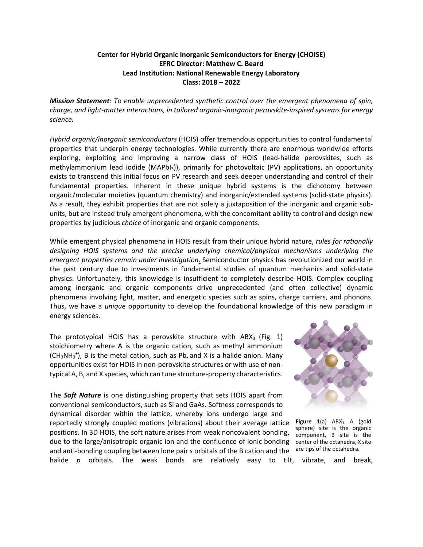## **Center for Hybrid Organic Inorganic Semiconductors for Energy (CHOISE) EFRC Director: Matthew C. Beard Lead Institution: National Renewable Energy Laboratory Class: 2018 – 2022**

*Mission Statement: To enable unprecedented synthetic control over the emergent phenomena of spin, charge, and light-matter interactions, in tailored organic-inorganic perovskite-inspired systems for energy science.*

*Hybrid organic/inorganic semiconductors* (HOIS) offer tremendous opportunities to control fundamental properties that underpin energy technologies. While currently there are enormous worldwide efforts exploring, exploiting and improving a narrow class of HOIS (lead-halide perovskites, such as methylammonium lead iodide (MAPbI3)), primarily for photovoltaic (PV) applications, an opportunity exists to transcend this initial focus on PV research and seek deeper understanding and control of their fundamental properties. Inherent in these unique hybrid systems is the dichotomy between organic/molecular moieties (quantum chemistry) and inorganic/extended systems (solid-state physics). As a result, they exhibit properties that are not solely a juxtaposition of the inorganic and organic subunits, but are instead truly emergent phenomena, with the concomitant ability to control and design new properties by judicious *choice* of inorganic and organic components.

While emergent physical phenomena in HOIS result from their unique hybrid nature, *rules for rationally designing HOIS systems and the precise underlying chemical/physical mechanisms underlying the emergent properties remain under investigation*. Semiconductor physics has revolutionized our world in the past century due to investments in fundamental studies of quantum mechanics and solid-state physics. Unfortunately, this knowledge is insufficient to completely describe HOIS. Complex coupling among inorganic and organic components drive unprecedented (and often collective) dynamic phenomena involving light, matter, and energetic species such as spins, charge carriers, and phonons. Thus, we have a *unique* opportunity to develop the foundational knowledge of this new paradigm in energy sciences.

The prototypical HOIS has a perovskite structure with  $ABX_3$  (Fig. 1) stoichiometry where A is the organic cation, such as methyl ammonium  $(CH<sub>3</sub>NH<sub>3</sub><sup>+</sup>)$ , B is the metal cation, such as Pb, and X is a halide anion. Many opportunities exist for HOIS in non-perovskite structures or with use of nontypical A, B, and X species, which can tune structure-property characteristics.

The *Soft Nature* is one distinguishing property that sets HOIS apart from conventional semiconductors, such as Si and GaAs*.* Softness corresponds to dynamical disorder within the lattice, whereby ions undergo large and reportedly strongly coupled motions (vibrations) about their average lattice positions. In 3D HOIS, the soft nature arises from weak noncovalent bonding, due to the large/anisotropic organic ion and the confluence of ionic bonding and anti-bonding coupling between lone pair *s* orbitals of the B cation and the



Figure 1(a) ABX<sub>3.</sub> A (gold sphere) site is the organic component, B site is the center of the octahedra, X site are tips of the octahedra.

halide *p* orbitals. The weak bonds are relatively easy to tilt, vibrate, and break,